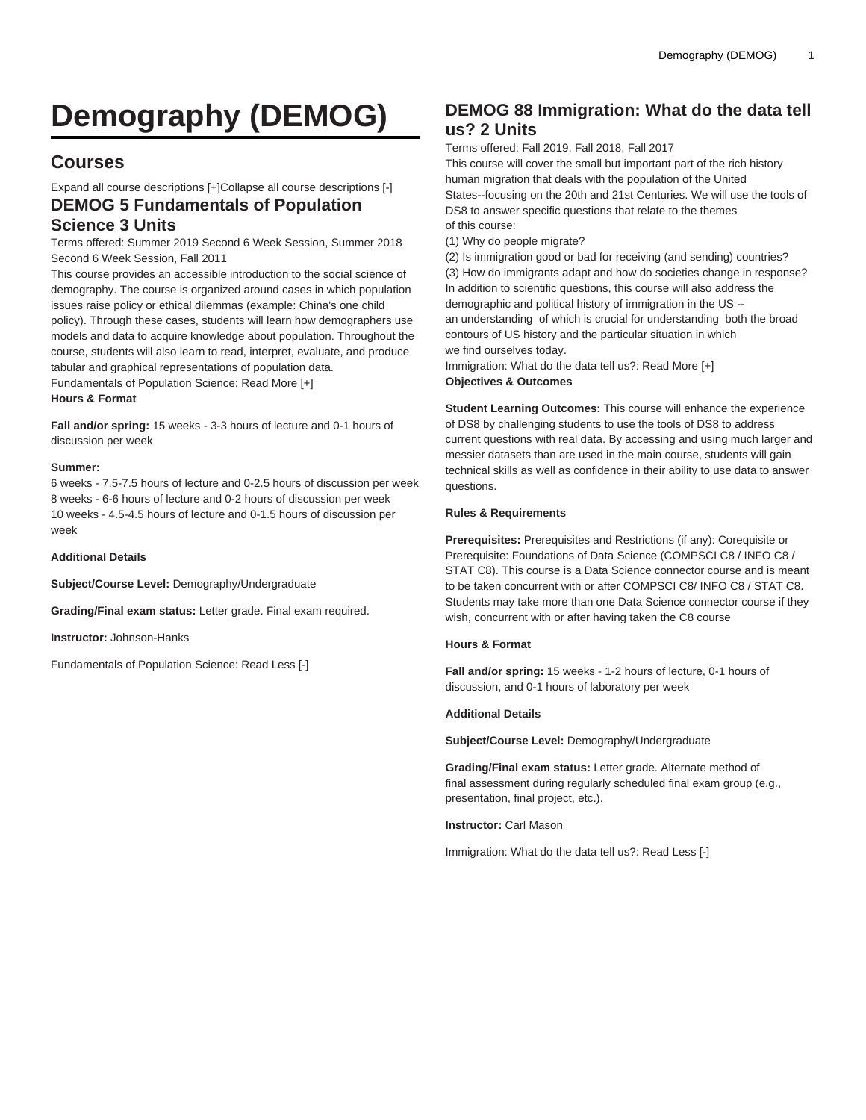# **Demography (DEMOG)**

# **Courses**

Expand all course descriptions [+]Collapse all course descriptions [-] **DEMOG 5 Fundamentals of Population**

# **Science 3 Units**

Terms offered: Summer 2019 Second 6 Week Session, Summer 2018 Second 6 Week Session, Fall 2011

This course provides an accessible introduction to the social science of demography. The course is organized around cases in which population issues raise policy or ethical dilemmas (example: China's one child policy). Through these cases, students will learn how demographers use models and data to acquire knowledge about population. Throughout the course, students will also learn to read, interpret, evaluate, and produce tabular and graphical representations of population data. Fundamentals of Population Science: Read More [+]

**Hours & Format**

**Fall and/or spring:** 15 weeks - 3-3 hours of lecture and 0-1 hours of discussion per week

#### **Summer:**

6 weeks - 7.5-7.5 hours of lecture and 0-2.5 hours of discussion per week 8 weeks - 6-6 hours of lecture and 0-2 hours of discussion per week 10 weeks - 4.5-4.5 hours of lecture and 0-1.5 hours of discussion per week

**Additional Details**

**Subject/Course Level:** Demography/Undergraduate

**Grading/Final exam status:** Letter grade. Final exam required.

**Instructor:** Johnson-Hanks

Fundamentals of Population Science: Read Less [-]

# **DEMOG 88 Immigration: What do the data tell us? 2 Units**

Terms offered: Fall 2019, Fall 2018, Fall 2017

This course will cover the small but important part of the rich history human migration that deals with the population of the United States--focusing on the 20th and 21st Centuries. We will use the tools of DS8 to answer specific questions that relate to the themes of this course:

(1) Why do people migrate?

(2) Is immigration good or bad for receiving (and sending) countries? (3) How do immigrants adapt and how do societies change in response? In addition to scientific questions, this course will also address the demographic and political history of immigration in the US - an understanding of which is crucial for understanding both the broad contours of US history and the particular situation in which we find ourselves today.

Immigration: What do the data tell us?: Read More [+] **Objectives & Outcomes**

**Student Learning Outcomes:** This course will enhance the experience of DS8 by challenging students to use the tools of DS8 to address current questions with real data. By accessing and using much larger and messier datasets than are used in the main course, students will gain technical skills as well as confidence in their ability to use data to answer questions.

#### **Rules & Requirements**

**Prerequisites:** Prerequisites and Restrictions (if any): Corequisite or Prerequisite: Foundations of Data Science ([COMPSCI C8](/search/?P=COMPSCI%20C8) / [INFO C8](/search/?P=INFO%20C8) / [STAT C8\)](/search/?P=STAT%20C8). This course is a Data Science connector course and is meant to be taken concurrent with or after [COMPSCI C8/](/search/?P=COMPSCI%20C8) [INFO C8](/search/?P=INFO%20C8) / [STAT C8](/search/?P=STAT%20C8). Students may take more than one Data Science connector course if they wish, concurrent with or after having taken the C8 course

#### **Hours & Format**

**Fall and/or spring:** 15 weeks - 1-2 hours of lecture, 0-1 hours of discussion, and 0-1 hours of laboratory per week

#### **Additional Details**

**Subject/Course Level:** Demography/Undergraduate

**Grading/Final exam status:** Letter grade. Alternate method of final assessment during regularly scheduled final exam group (e.g., presentation, final project, etc.).

**Instructor:** Carl Mason

Immigration: What do the data tell us?: Read Less [-]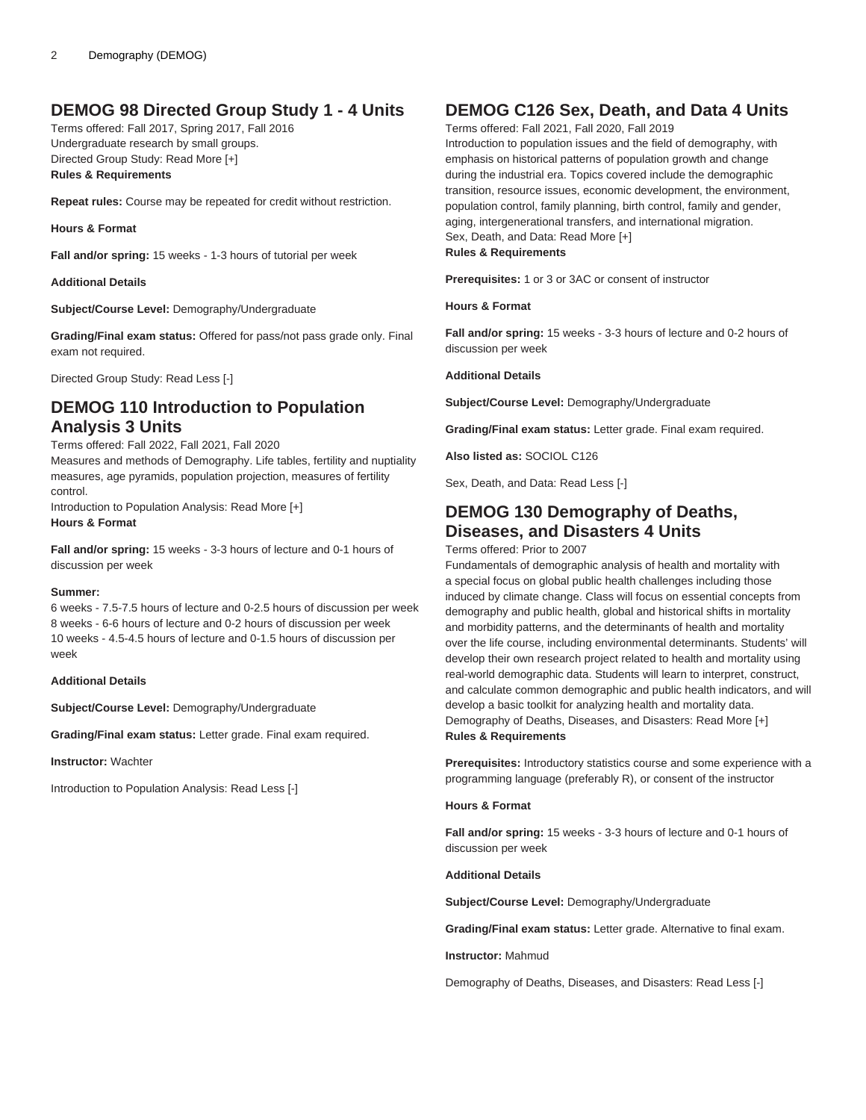### **DEMOG 98 Directed Group Study 1 - 4 Units**

Terms offered: Fall 2017, Spring 2017, Fall 2016 Undergraduate research by small groups. Directed Group Study: Read More [+] **Rules & Requirements**

**Repeat rules:** Course may be repeated for credit without restriction.

**Hours & Format**

**Fall and/or spring:** 15 weeks - 1-3 hours of tutorial per week

#### **Additional Details**

**Subject/Course Level:** Demography/Undergraduate

**Grading/Final exam status:** Offered for pass/not pass grade only. Final exam not required.

Directed Group Study: Read Less [-]

### **DEMOG 110 Introduction to Population Analysis 3 Units**

#### Terms offered: Fall 2022, Fall 2021, Fall 2020

Measures and methods of Demography. Life tables, fertility and nuptiality measures, age pyramids, population projection, measures of fertility control.

Introduction to Population Analysis: Read More [+] **Hours & Format**

**Fall and/or spring:** 15 weeks - 3-3 hours of lecture and 0-1 hours of discussion per week

#### **Summer:**

6 weeks - 7.5-7.5 hours of lecture and 0-2.5 hours of discussion per week 8 weeks - 6-6 hours of lecture and 0-2 hours of discussion per week 10 weeks - 4.5-4.5 hours of lecture and 0-1.5 hours of discussion per week

#### **Additional Details**

**Subject/Course Level:** Demography/Undergraduate

**Grading/Final exam status:** Letter grade. Final exam required.

**Instructor:** Wachter

Introduction to Population Analysis: Read Less [-]

## **DEMOG C126 Sex, Death, and Data 4 Units**

Terms offered: Fall 2021, Fall 2020, Fall 2019

Introduction to population issues and the field of demography, with emphasis on historical patterns of population growth and change during the industrial era. Topics covered include the demographic transition, resource issues, economic development, the environment, population control, family planning, birth control, family and gender, aging, intergenerational transfers, and international migration. Sex, Death, and Data: Read More [+] **Rules & Requirements**

**Prerequisites:** 1 or 3 or 3AC or consent of instructor

#### **Hours & Format**

**Fall and/or spring:** 15 weeks - 3-3 hours of lecture and 0-2 hours of discussion per week

**Additional Details**

**Subject/Course Level:** Demography/Undergraduate

**Grading/Final exam status:** Letter grade. Final exam required.

**Also listed as:** SOCIOL C126

Sex, Death, and Data: Read Less [-]

# **DEMOG 130 Demography of Deaths, Diseases, and Disasters 4 Units**

Terms offered: Prior to 2007

Fundamentals of demographic analysis of health and mortality with a special focus on global public health challenges including those induced by climate change. Class will focus on essential concepts from demography and public health, global and historical shifts in mortality and morbidity patterns, and the determinants of health and mortality over the life course, including environmental determinants. Students' will develop their own research project related to health and mortality using real-world demographic data. Students will learn to interpret, construct, and calculate common demographic and public health indicators, and will develop a basic toolkit for analyzing health and mortality data. Demography of Deaths, Diseases, and Disasters: Read More [+] **Rules & Requirements**

**Prerequisites:** Introductory statistics course and some experience with a programming language (preferably R), or consent of the instructor

#### **Hours & Format**

**Fall and/or spring:** 15 weeks - 3-3 hours of lecture and 0-1 hours of discussion per week

#### **Additional Details**

**Subject/Course Level:** Demography/Undergraduate

**Grading/Final exam status:** Letter grade. Alternative to final exam.

**Instructor:** Mahmud

Demography of Deaths, Diseases, and Disasters: Read Less [-]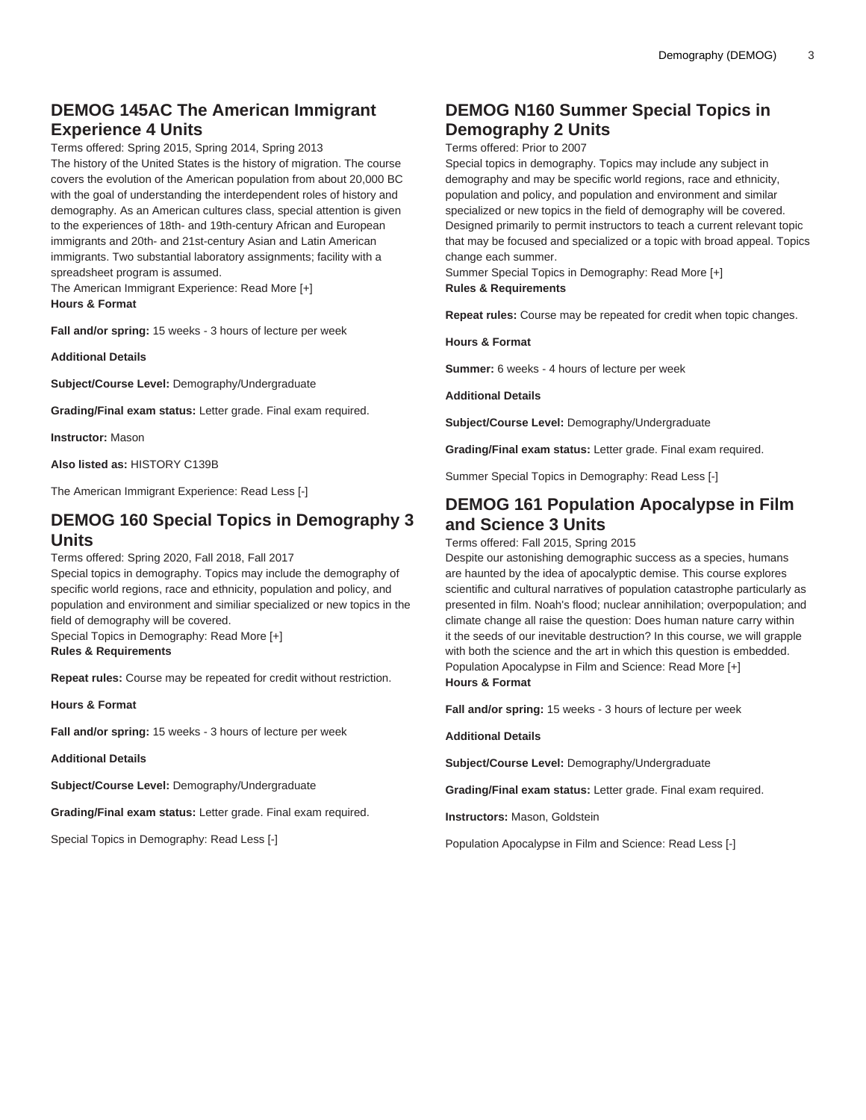# **DEMOG 145AC The American Immigrant Experience 4 Units**

Terms offered: Spring 2015, Spring 2014, Spring 2013

The history of the United States is the history of migration. The course covers the evolution of the American population from about 20,000 BC with the goal of understanding the interdependent roles of history and demography. As an American cultures class, special attention is given to the experiences of 18th- and 19th-century African and European immigrants and 20th- and 21st-century Asian and Latin American immigrants. Two substantial laboratory assignments; facility with a spreadsheet program is assumed.

The American Immigrant Experience: Read More [+] **Hours & Format**

**Fall and/or spring:** 15 weeks - 3 hours of lecture per week

**Additional Details**

**Subject/Course Level:** Demography/Undergraduate

**Grading/Final exam status:** Letter grade. Final exam required.

**Instructor:** Mason

**Also listed as:** HISTORY C139B

The American Immigrant Experience: Read Less [-]

## **DEMOG 160 Special Topics in Demography 3 Units**

Terms offered: Spring 2020, Fall 2018, Fall 2017

Special topics in demography. Topics may include the demography of specific world regions, race and ethnicity, population and policy, and population and environment and similiar specialized or new topics in the field of demography will be covered.

Special Topics in Demography: Read More [+] **Rules & Requirements**

**Repeat rules:** Course may be repeated for credit without restriction.

**Hours & Format**

**Fall and/or spring:** 15 weeks - 3 hours of lecture per week

**Additional Details**

**Subject/Course Level:** Demography/Undergraduate

**Grading/Final exam status:** Letter grade. Final exam required.

Special Topics in Demography: Read Less [-]

# **DEMOG N160 Summer Special Topics in Demography 2 Units**

Terms offered: Prior to 2007

Special topics in demography. Topics may include any subject in demography and may be specific world regions, race and ethnicity, population and policy, and population and environment and similar specialized or new topics in the field of demography will be covered. Designed primarily to permit instructors to teach a current relevant topic that may be focused and specialized or a topic with broad appeal. Topics change each summer.

Summer Special Topics in Demography: Read More [+] **Rules & Requirements**

**Repeat rules:** Course may be repeated for credit when topic changes.

**Hours & Format**

**Summer:** 6 weeks - 4 hours of lecture per week

**Additional Details**

**Subject/Course Level:** Demography/Undergraduate

**Grading/Final exam status:** Letter grade. Final exam required.

Summer Special Topics in Demography: Read Less [-]

### **DEMOG 161 Population Apocalypse in Film and Science 3 Units**

Terms offered: Fall 2015, Spring 2015

Despite our astonishing demographic success as a species, humans are haunted by the idea of apocalyptic demise. This course explores scientific and cultural narratives of population catastrophe particularly as presented in film. Noah's flood; nuclear annihilation; overpopulation; and climate change all raise the question: Does human nature carry within it the seeds of our inevitable destruction? In this course, we will grapple with both the science and the art in which this question is embedded. Population Apocalypse in Film and Science: Read More [+] **Hours & Format**

**Fall and/or spring:** 15 weeks - 3 hours of lecture per week

**Additional Details**

**Subject/Course Level:** Demography/Undergraduate

**Grading/Final exam status:** Letter grade. Final exam required.

**Instructors:** Mason, Goldstein

Population Apocalypse in Film and Science: Read Less [-]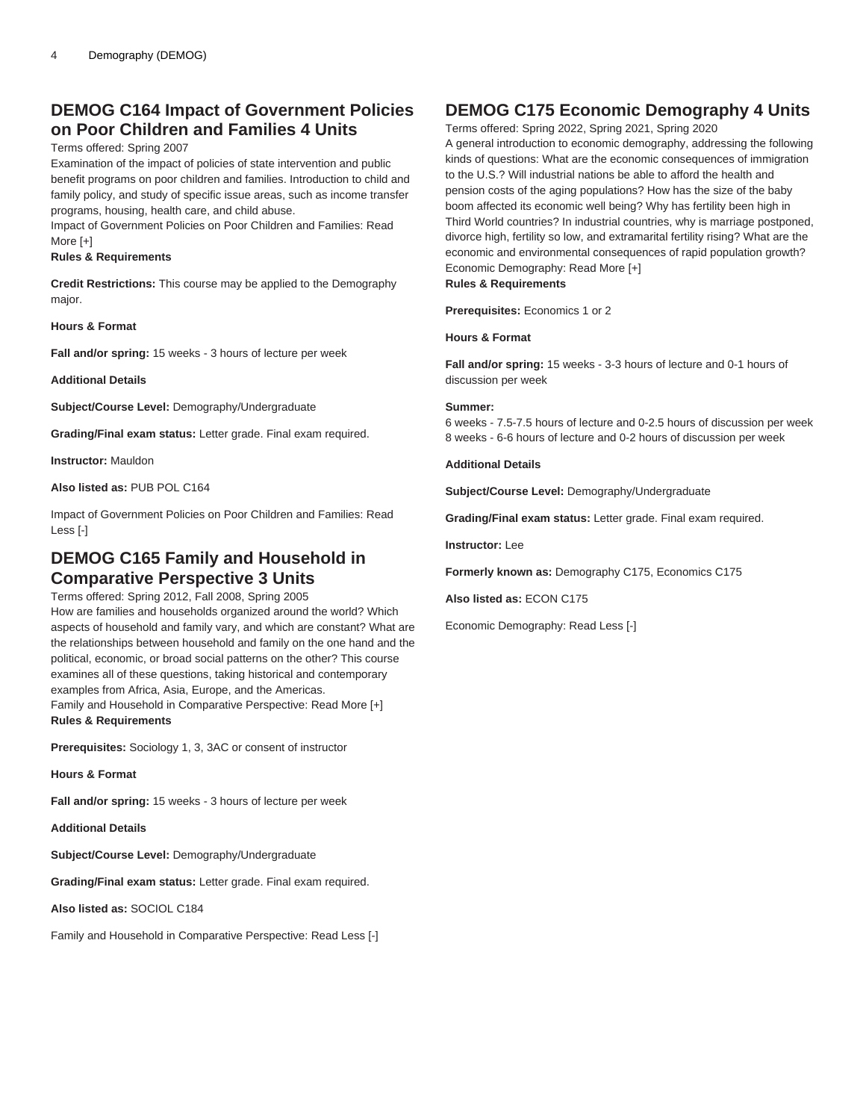### **DEMOG C164 Impact of Government Policies on Poor Children and Families 4 Units**

#### Terms offered: Spring 2007

Examination of the impact of policies of state intervention and public benefit programs on poor children and families. Introduction to child and family policy, and study of specific issue areas, such as income transfer programs, housing, health care, and child abuse.

Impact of Government Policies on Poor Children and Families: Read More [+]

#### **Rules & Requirements**

**Credit Restrictions:** This course may be applied to the Demography major.

#### **Hours & Format**

**Fall and/or spring:** 15 weeks - 3 hours of lecture per week

#### **Additional Details**

**Subject/Course Level:** Demography/Undergraduate

**Grading/Final exam status:** Letter grade. Final exam required.

**Instructor:** Mauldon

**Also listed as:** PUB POL C164

Impact of Government Policies on Poor Children and Families: Read Less [-]

### **DEMOG C165 Family and Household in Comparative Perspective 3 Units**

Terms offered: Spring 2012, Fall 2008, Spring 2005 How are families and households organized around the world? Which aspects of household and family vary, and which are constant? What are the relationships between household and family on the one hand and the political, economic, or broad social patterns on the other? This course examines all of these questions, taking historical and contemporary examples from Africa, Asia, Europe, and the Americas. Family and Household in Comparative Perspective: Read More [+] **Rules & Requirements**

**Prerequisites:** Sociology 1, 3, 3AC or consent of instructor

**Hours & Format**

**Fall and/or spring:** 15 weeks - 3 hours of lecture per week

**Additional Details**

**Subject/Course Level:** Demography/Undergraduate

**Grading/Final exam status:** Letter grade. Final exam required.

**Also listed as:** SOCIOL C184

Family and Household in Comparative Perspective: Read Less [-]

### **DEMOG C175 Economic Demography 4 Units**

Terms offered: Spring 2022, Spring 2021, Spring 2020 A general introduction to economic demography, addressing the following kinds of questions: What are the economic consequences of immigration to the U.S.? Will industrial nations be able to afford the health and pension costs of the aging populations? How has the size of the baby boom affected its economic well being? Why has fertility been high in Third World countries? In industrial countries, why is marriage postponed, divorce high, fertility so low, and extramarital fertility rising? What are the economic and environmental consequences of rapid population growth? Economic Demography: Read More [+] **Rules & Requirements**

**Prerequisites:** Economics 1 or 2

**Hours & Format**

**Fall and/or spring:** 15 weeks - 3-3 hours of lecture and 0-1 hours of discussion per week

#### **Summer:**

6 weeks - 7.5-7.5 hours of lecture and 0-2.5 hours of discussion per week 8 weeks - 6-6 hours of lecture and 0-2 hours of discussion per week

#### **Additional Details**

**Subject/Course Level:** Demography/Undergraduate

**Grading/Final exam status:** Letter grade. Final exam required.

**Instructor:** Lee

**Formerly known as:** Demography C175, Economics C175

**Also listed as:** ECON C175

Economic Demography: Read Less [-]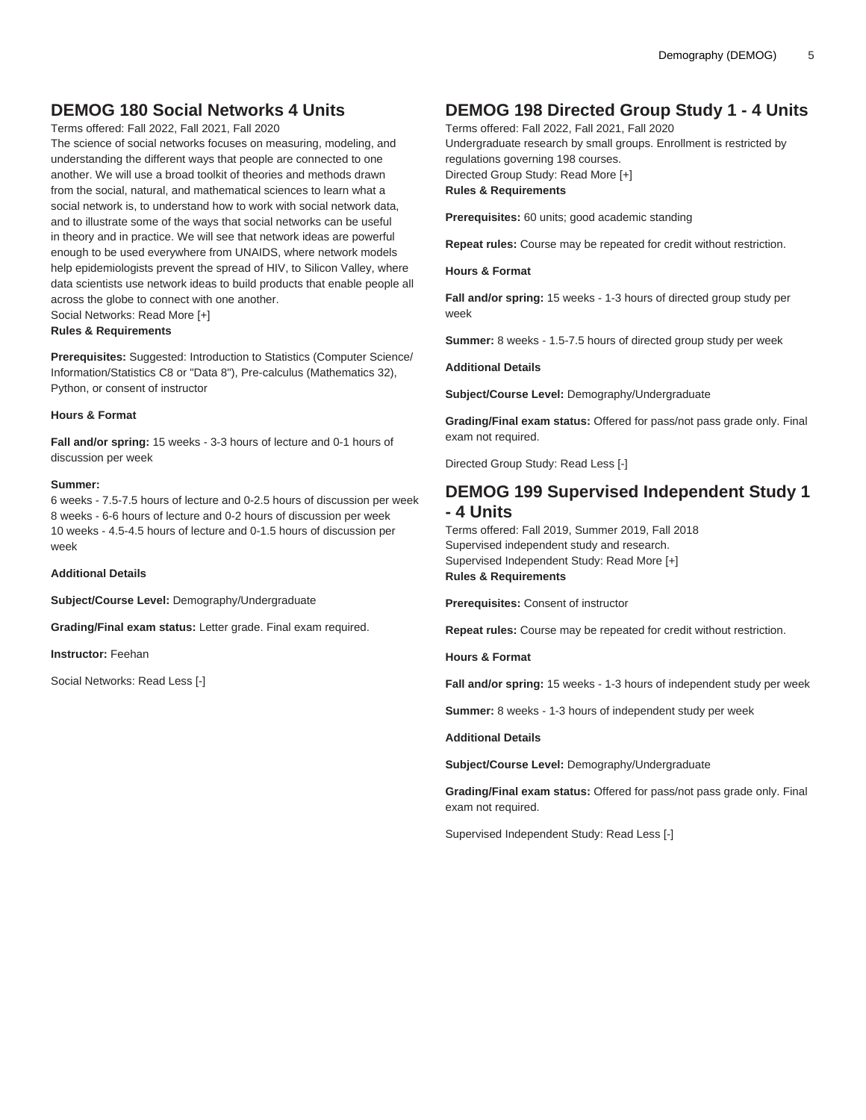# **DEMOG 180 Social Networks 4 Units**

Terms offered: Fall 2022, Fall 2021, Fall 2020

The science of social networks focuses on measuring, modeling, and understanding the different ways that people are connected to one another. We will use a broad toolkit of theories and methods drawn from the social, natural, and mathematical sciences to learn what a social network is, to understand how to work with social network data, and to illustrate some of the ways that social networks can be useful in theory and in practice. We will see that network ideas are powerful enough to be used everywhere from UNAIDS, where network models help epidemiologists prevent the spread of HIV, to Silicon Valley, where data scientists use network ideas to build products that enable people all across the globe to connect with one another. Social Networks: Read More [+] **Rules & Requirements**

**Prerequisites:** Suggested: Introduction to Statistics (Computer Science/ Information/Statistics C8 or "Data 8"), Pre-calculus (Mathematics 32), Python, or consent of instructor

#### **Hours & Format**

**Fall and/or spring:** 15 weeks - 3-3 hours of lecture and 0-1 hours of discussion per week

#### **Summer:**

6 weeks - 7.5-7.5 hours of lecture and 0-2.5 hours of discussion per week 8 weeks - 6-6 hours of lecture and 0-2 hours of discussion per week 10 weeks - 4.5-4.5 hours of lecture and 0-1.5 hours of discussion per week

**Additional Details**

**Subject/Course Level:** Demography/Undergraduate

**Grading/Final exam status:** Letter grade. Final exam required.

**Instructor:** Feehan

Social Networks: Read Less [-]

# **DEMOG 198 Directed Group Study 1 - 4 Units**

Terms offered: Fall 2022, Fall 2021, Fall 2020 Undergraduate research by small groups. Enrollment is restricted by regulations governing 198 courses. Directed Group Study: Read More [+] **Rules & Requirements**

**Prerequisites:** 60 units; good academic standing

**Repeat rules:** Course may be repeated for credit without restriction.

**Hours & Format**

**Fall and/or spring:** 15 weeks - 1-3 hours of directed group study per week

**Summer:** 8 weeks - 1.5-7.5 hours of directed group study per week

#### **Additional Details**

**Subject/Course Level:** Demography/Undergraduate

**Grading/Final exam status:** Offered for pass/not pass grade only. Final exam not required.

Directed Group Study: Read Less [-]

### **DEMOG 199 Supervised Independent Study 1 - 4 Units**

Terms offered: Fall 2019, Summer 2019, Fall 2018 Supervised independent study and research. Supervised Independent Study: Read More [+] **Rules & Requirements**

**Prerequisites:** Consent of instructor

**Repeat rules:** Course may be repeated for credit without restriction.

**Hours & Format**

**Fall and/or spring:** 15 weeks - 1-3 hours of independent study per week

**Summer:** 8 weeks - 1-3 hours of independent study per week

**Additional Details**

**Subject/Course Level:** Demography/Undergraduate

**Grading/Final exam status:** Offered for pass/not pass grade only. Final exam not required.

Supervised Independent Study: Read Less [-]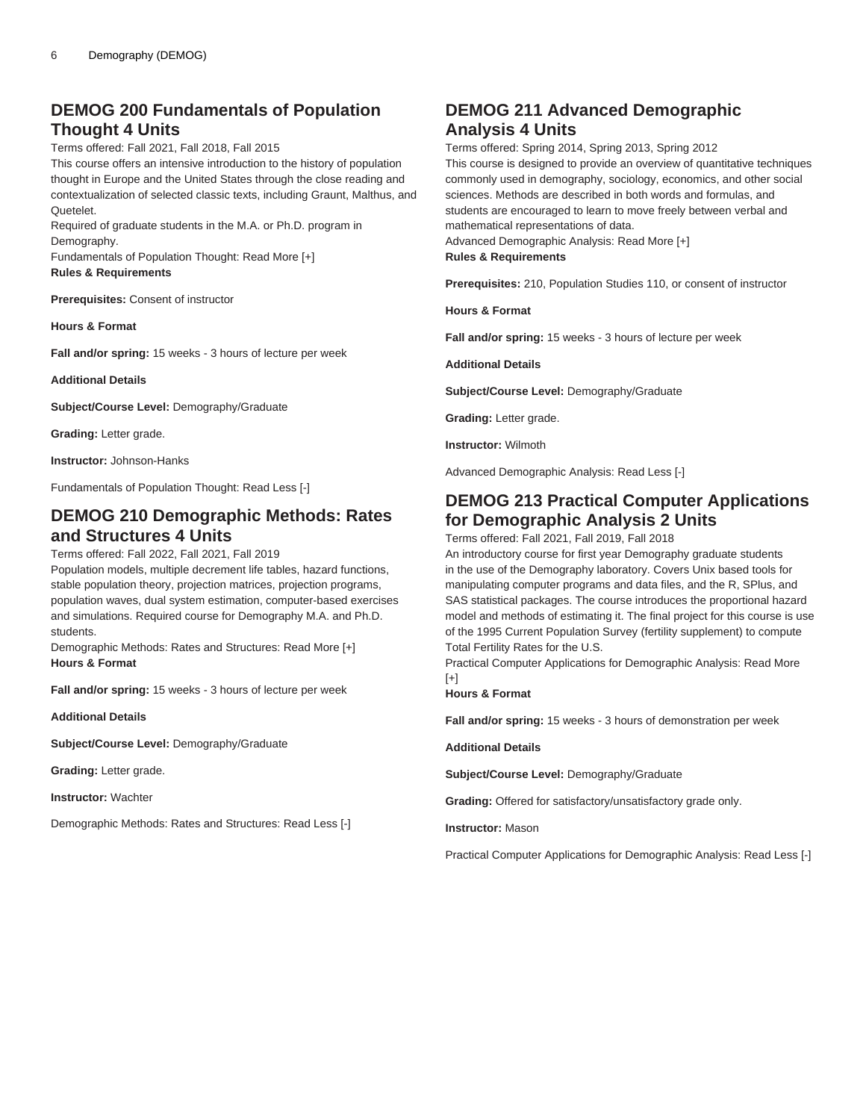# **DEMOG 200 Fundamentals of Population Thought 4 Units**

Terms offered: Fall 2021, Fall 2018, Fall 2015

This course offers an intensive introduction to the history of population thought in Europe and the United States through the close reading and contextualization of selected classic texts, including Graunt, Malthus, and Quetelet.

Required of graduate students in the M.A. or Ph.D. program in Demography.

Fundamentals of Population Thought: Read More [+] **Rules & Requirements**

**Prerequisites:** Consent of instructor

**Hours & Format**

**Fall and/or spring:** 15 weeks - 3 hours of lecture per week

**Additional Details**

**Subject/Course Level:** Demography/Graduate

**Grading:** Letter grade.

**Instructor:** Johnson-Hanks

Fundamentals of Population Thought: Read Less [-]

### **DEMOG 210 Demographic Methods: Rates and Structures 4 Units**

#### Terms offered: Fall 2022, Fall 2021, Fall 2019

Population models, multiple decrement life tables, hazard functions, stable population theory, projection matrices, projection programs, population waves, dual system estimation, computer-based exercises and simulations. Required course for Demography M.A. and Ph.D. students.

Demographic Methods: Rates and Structures: Read More [+] **Hours & Format**

**Fall and/or spring:** 15 weeks - 3 hours of lecture per week

**Additional Details**

**Subject/Course Level:** Demography/Graduate

**Grading:** Letter grade.

**Instructor:** Wachter

Demographic Methods: Rates and Structures: Read Less [-]

### **DEMOG 211 Advanced Demographic Analysis 4 Units**

Terms offered: Spring 2014, Spring 2013, Spring 2012 This course is designed to provide an overview of quantitative techniques commonly used in demography, sociology, economics, and other social sciences. Methods are described in both words and formulas, and students are encouraged to learn to move freely between verbal and mathematical representations of data. Advanced Demographic Analysis: Read More [+] **Rules & Requirements**

**Prerequisites:** 210, Population Studies 110, or consent of instructor

**Hours & Format**

**Fall and/or spring:** 15 weeks - 3 hours of lecture per week

**Additional Details**

**Subject/Course Level:** Demography/Graduate

**Grading:** Letter grade.

**Instructor:** Wilmoth

Advanced Demographic Analysis: Read Less [-]

# **DEMOG 213 Practical Computer Applications for Demographic Analysis 2 Units**

Terms offered: Fall 2021, Fall 2019, Fall 2018

An introductory course for first year Demography graduate students in the use of the Demography laboratory. Covers Unix based tools for manipulating computer programs and data files, and the R, SPlus, and SAS statistical packages. The course introduces the proportional hazard model and methods of estimating it. The final project for this course is use of the 1995 Current Population Survey (fertility supplement) to compute Total Fertility Rates for the U.S.

Practical Computer Applications for Demographic Analysis: Read More  $[+]$ 

**Hours & Format**

**Fall and/or spring:** 15 weeks - 3 hours of demonstration per week

**Additional Details**

**Subject/Course Level:** Demography/Graduate

**Grading:** Offered for satisfactory/unsatisfactory grade only.

**Instructor:** Mason

Practical Computer Applications for Demographic Analysis: Read Less [-]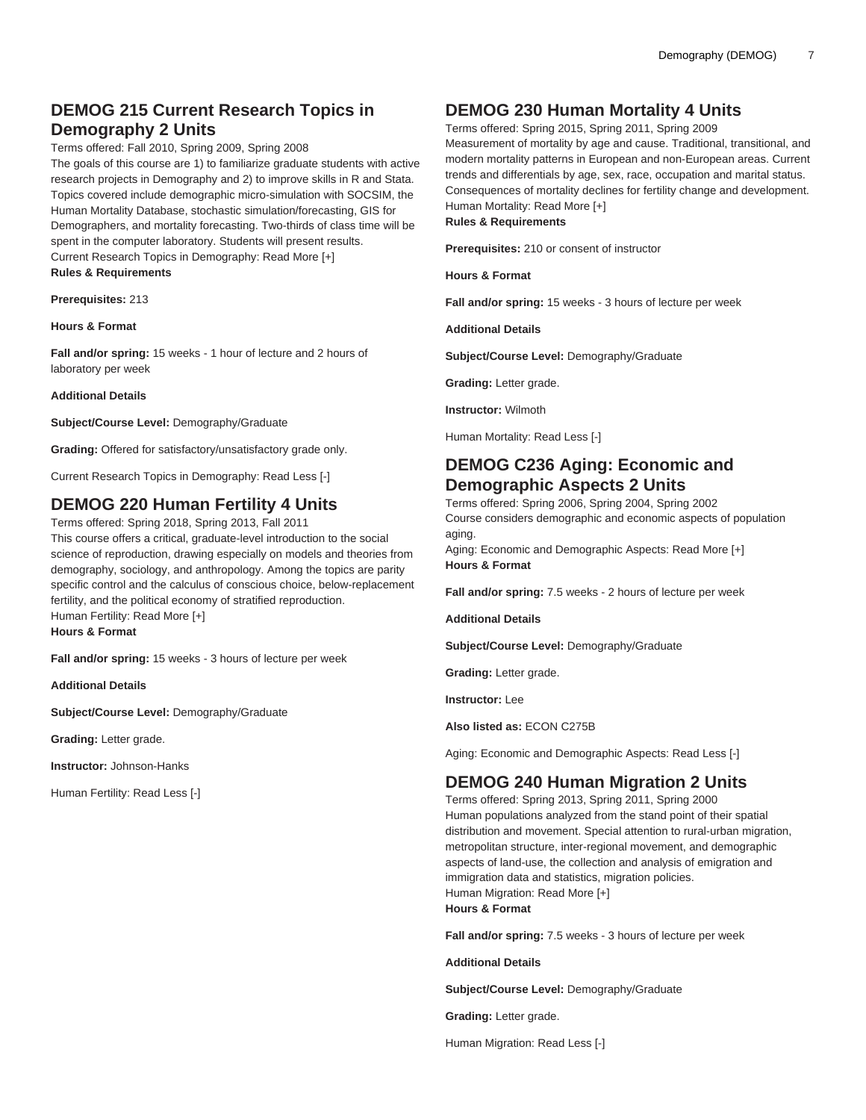# **DEMOG 215 Current Research Topics in Demography 2 Units**

Terms offered: Fall 2010, Spring 2009, Spring 2008

The goals of this course are 1) to familiarize graduate students with active research projects in Demography and 2) to improve skills in R and Stata. Topics covered include demographic micro-simulation with SOCSIM, the Human Mortality Database, stochastic simulation/forecasting, GIS for Demographers, and mortality forecasting. Two-thirds of class time will be spent in the computer laboratory. Students will present results. Current Research Topics in Demography: Read More [+]

**Rules & Requirements**

**Prerequisites:** 213

**Hours & Format**

**Fall and/or spring:** 15 weeks - 1 hour of lecture and 2 hours of laboratory per week

**Additional Details**

**Subject/Course Level:** Demography/Graduate

**Grading:** Offered for satisfactory/unsatisfactory grade only.

Current Research Topics in Demography: Read Less [-]

### **DEMOG 220 Human Fertility 4 Units**

Terms offered: Spring 2018, Spring 2013, Fall 2011 This course offers a critical, graduate-level introduction to the social science of reproduction, drawing especially on models and theories from demography, sociology, and anthropology. Among the topics are parity specific control and the calculus of conscious choice, below-replacement fertility, and the political economy of stratified reproduction. Human Fertility: Read More [+] **Hours & Format**

**Fall and/or spring:** 15 weeks - 3 hours of lecture per week

**Additional Details**

**Subject/Course Level:** Demography/Graduate

**Grading:** Letter grade.

**Instructor:** Johnson-Hanks

Human Fertility: Read Less [-]

# **DEMOG 230 Human Mortality 4 Units**

Terms offered: Spring 2015, Spring 2011, Spring 2009 Measurement of mortality by age and cause. Traditional, transitional, and modern mortality patterns in European and non-European areas. Current trends and differentials by age, sex, race, occupation and marital status. Consequences of mortality declines for fertility change and development. Human Mortality: Read More [+] **Rules & Requirements**

**Prerequisites:** 210 or consent of instructor

**Hours & Format**

**Fall and/or spring:** 15 weeks - 3 hours of lecture per week

**Additional Details**

**Subject/Course Level:** Demography/Graduate

**Grading:** Letter grade.

**Instructor:** Wilmoth

Human Mortality: Read Less [-]

# **DEMOG C236 Aging: Economic and Demographic Aspects 2 Units**

Terms offered: Spring 2006, Spring 2004, Spring 2002 Course considers demographic and economic aspects of population aging.

Aging: Economic and Demographic Aspects: Read More [+] **Hours & Format**

**Fall and/or spring:** 7.5 weeks - 2 hours of lecture per week

**Additional Details**

**Subject/Course Level:** Demography/Graduate

**Grading:** Letter grade.

**Instructor:** Lee

**Also listed as:** ECON C275B

Aging: Economic and Demographic Aspects: Read Less [-]

# **DEMOG 240 Human Migration 2 Units**

Terms offered: Spring 2013, Spring 2011, Spring 2000 Human populations analyzed from the stand point of their spatial distribution and movement. Special attention to rural-urban migration, metropolitan structure, inter-regional movement, and demographic aspects of land-use, the collection and analysis of emigration and immigration data and statistics, migration policies. Human Migration: Read More [+] **Hours & Format**

**Fall and/or spring:** 7.5 weeks - 3 hours of lecture per week

**Additional Details**

**Subject/Course Level:** Demography/Graduate

**Grading:** Letter grade.

Human Migration: Read Less [-]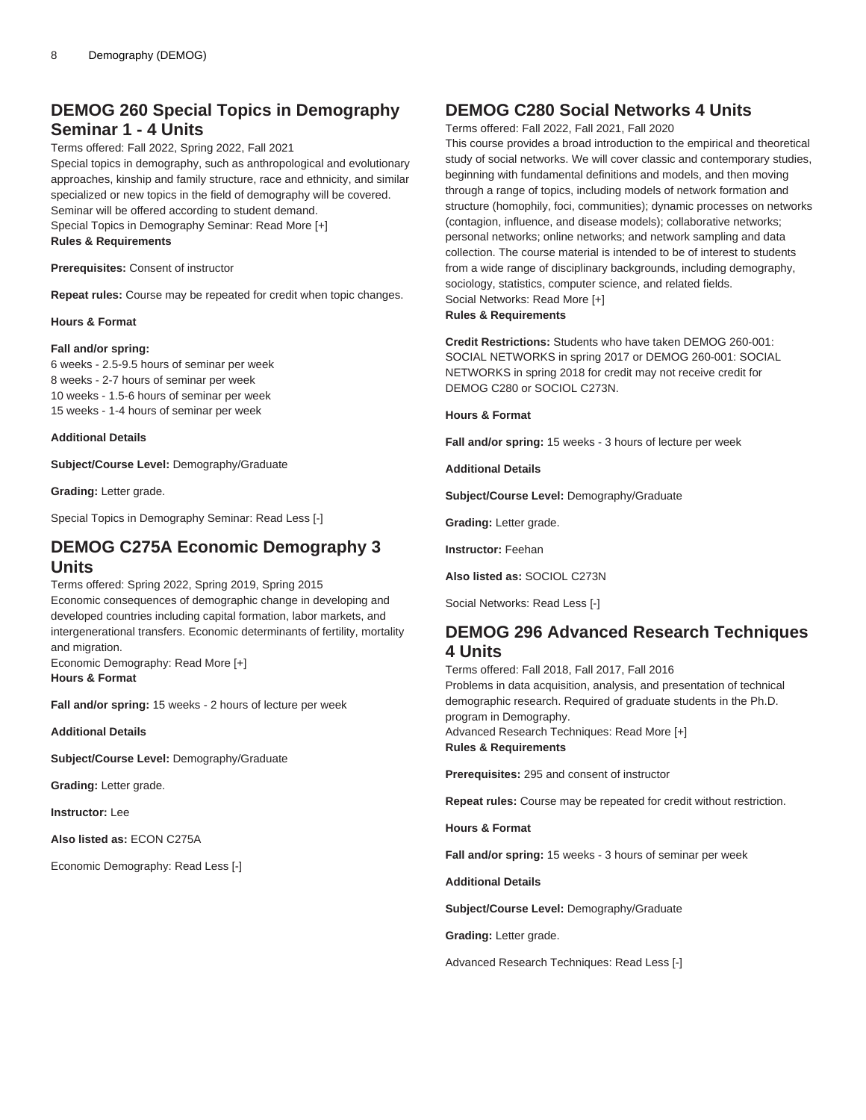# **DEMOG 260 Special Topics in Demography Seminar 1 - 4 Units**

Terms offered: Fall 2022, Spring 2022, Fall 2021

Special topics in demography, such as anthropological and evolutionary approaches, kinship and family structure, race and ethnicity, and similar specialized or new topics in the field of demography will be covered. Seminar will be offered according to student demand.

Special Topics in Demography Seminar: Read More [+] **Rules & Requirements**

**Prerequisites:** Consent of instructor

**Repeat rules:** Course may be repeated for credit when topic changes.

**Hours & Format**

#### **Fall and/or spring:**

6 weeks - 2.5-9.5 hours of seminar per week 8 weeks - 2-7 hours of seminar per week 10 weeks - 1.5-6 hours of seminar per week 15 weeks - 1-4 hours of seminar per week

#### **Additional Details**

**Subject/Course Level:** Demography/Graduate

**Grading:** Letter grade.

Special Topics in Demography Seminar: Read Less [-]

### **DEMOG C275A Economic Demography 3 Units**

Terms offered: Spring 2022, Spring 2019, Spring 2015 Economic consequences of demographic change in developing and developed countries including capital formation, labor markets, and intergenerational transfers. Economic determinants of fertility, mortality and migration.

Economic Demography: Read More [+] **Hours & Format**

**Fall and/or spring:** 15 weeks - 2 hours of lecture per week

**Additional Details**

**Subject/Course Level:** Demography/Graduate

**Grading:** Letter grade.

**Instructor:** Lee

**Also listed as:** ECON C275A

Economic Demography: Read Less [-]

## **DEMOG C280 Social Networks 4 Units**

Terms offered: Fall 2022, Fall 2021, Fall 2020

This course provides a broad introduction to the empirical and theoretical study of social networks. We will cover classic and contemporary studies, beginning with fundamental definitions and models, and then moving through a range of topics, including models of network formation and structure (homophily, foci, communities); dynamic processes on networks (contagion, influence, and disease models); collaborative networks; personal networks; online networks; and network sampling and data collection. The course material is intended to be of interest to students from a wide range of disciplinary backgrounds, including demography, sociology, statistics, computer science, and related fields. Social Networks: Read More [+]

**Rules & Requirements**

**Credit Restrictions:** Students who have taken [DEMOG 260](/search/?P=DEMOG%20260)-001: SOCIAL NETWORKS in spring 2017 or [DEMOG 260-](/search/?P=DEMOG%20260)001: SOCIAL NETWORKS in spring 2018 for credit may not receive credit for [DEMOG C280](/search/?P=DEMOG%20C280) or [SOCIOL C273N](/search/?P=SOCIOL%20C273N).

**Hours & Format**

**Fall and/or spring:** 15 weeks - 3 hours of lecture per week

**Additional Details**

**Subject/Course Level:** Demography/Graduate

**Grading:** Letter grade.

**Instructor:** Feehan

**Also listed as:** SOCIOL C273N

Social Networks: Read Less [-]

### **DEMOG 296 Advanced Research Techniques 4 Units**

Terms offered: Fall 2018, Fall 2017, Fall 2016 Problems in data acquisition, analysis, and presentation of technical demographic research. Required of graduate students in the Ph.D. program in Demography. Advanced Research Techniques: Read More [+] **Rules & Requirements**

**Prerequisites:** 295 and consent of instructor

**Repeat rules:** Course may be repeated for credit without restriction.

**Hours & Format**

**Fall and/or spring:** 15 weeks - 3 hours of seminar per week

**Additional Details**

**Subject/Course Level:** Demography/Graduate

**Grading:** Letter grade.

Advanced Research Techniques: Read Less [-]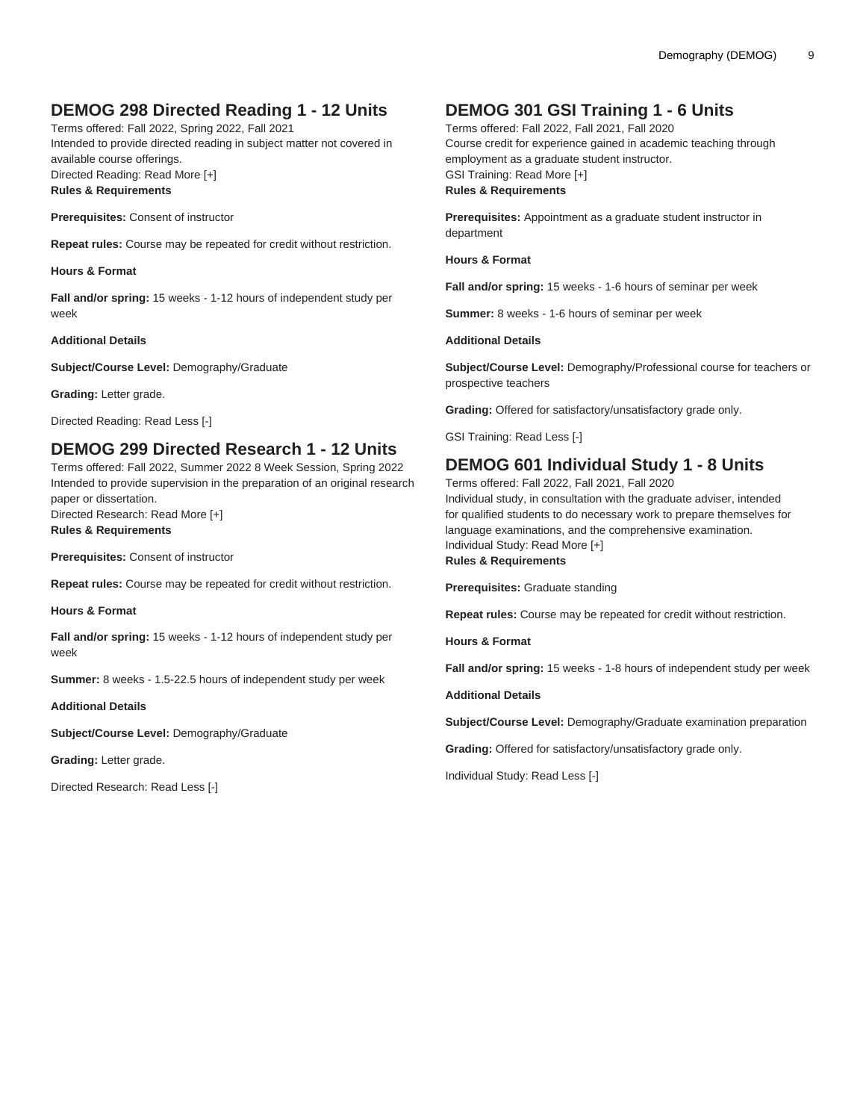# **DEMOG 298 Directed Reading 1 - 12 Units**

Terms offered: Fall 2022, Spring 2022, Fall 2021 Intended to provide directed reading in subject matter not covered in available course offerings. Directed Reading: Read More [+] **Rules & Requirements**

**Prerequisites:** Consent of instructor

**Repeat rules:** Course may be repeated for credit without restriction.

**Hours & Format**

**Fall and/or spring:** 15 weeks - 1-12 hours of independent study per week

#### **Additional Details**

**Subject/Course Level:** Demography/Graduate

**Grading:** Letter grade.

Directed Reading: Read Less [-]

### **DEMOG 299 Directed Research 1 - 12 Units**

Terms offered: Fall 2022, Summer 2022 8 Week Session, Spring 2022 Intended to provide supervision in the preparation of an original research paper or dissertation. Directed Research: Read More [+] **Rules & Requirements**

**Prerequisites:** Consent of instructor

**Repeat rules:** Course may be repeated for credit without restriction.

**Hours & Format**

**Fall and/or spring:** 15 weeks - 1-12 hours of independent study per week

**Summer:** 8 weeks - 1.5-22.5 hours of independent study per week

**Additional Details**

**Subject/Course Level:** Demography/Graduate

**Grading:** Letter grade.

Directed Research: Read Less [-]

# **DEMOG 301 GSI Training 1 - 6 Units**

Terms offered: Fall 2022, Fall 2021, Fall 2020 Course credit for experience gained in academic teaching through employment as a graduate student instructor. GSI Training: Read More [+] **Rules & Requirements**

**Prerequisites:** Appointment as a graduate student instructor in department

**Hours & Format**

**Fall and/or spring:** 15 weeks - 1-6 hours of seminar per week

**Summer:** 8 weeks - 1-6 hours of seminar per week

#### **Additional Details**

**Subject/Course Level:** Demography/Professional course for teachers or prospective teachers

**Grading:** Offered for satisfactory/unsatisfactory grade only.

GSI Training: Read Less [-]

### **DEMOG 601 Individual Study 1 - 8 Units**

Terms offered: Fall 2022, Fall 2021, Fall 2020

Individual study, in consultation with the graduate adviser, intended for qualified students to do necessary work to prepare themselves for language examinations, and the comprehensive examination. Individual Study: Read More [+] **Rules & Requirements**

**Prerequisites:** Graduate standing

**Repeat rules:** Course may be repeated for credit without restriction.

**Hours & Format**

**Fall and/or spring:** 15 weeks - 1-8 hours of independent study per week

**Additional Details**

**Subject/Course Level:** Demography/Graduate examination preparation

**Grading:** Offered for satisfactory/unsatisfactory grade only.

Individual Study: Read Less [-]